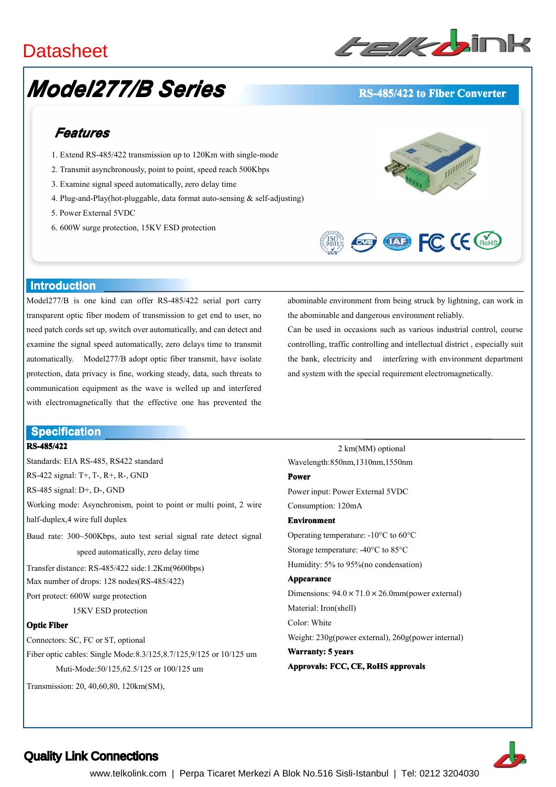# **Datasheet**

# *Model277/B Series*

# ﹥﹥**Serial to Fiber Converters Converters**

# **RS-485/422 RS-485/422 to Fiber Converter Converter**

# *Features*

- 1. Extend RS-485/422 transmission up to 120Km with single-mode
- 2. Transmit asynchronously, point to point, speed reach 500Kbps
- 3. Examine signal speed automatically, zero delaytime
- 4. Plug-and-Play(hot-pluggable, data format auto-sensing & self-adjusting)
- 5. Power External 5VDC
- 6. 600W surge protection, 15KV ESD protection





## **Introduction**

Model277/B is one kind can offer RS-485/422 serial por<sup>t</sup> carry transparent optic fiber modem of transmission to ge<sup>t</sup> end to user, no need patch cords set up, switch over automatically, and can detect and examine the signal speed automatically, zero delays time to transmit automatically. Model277/B adopt optic fiber transmit, have isolate protection, data privacy is fine, working steady, data, such threats to communication equipment as the wave is welled up and interfered with electromagnetically that the effective one has prevented the

## **Specification Specification**

## **RS-485/422**

Standards: EIA RS-485, RS422 standard RS-422 signal: T+, T-, R+, R-, GND RS-485 signal: D+, D-, GND Working mode: Asynchronism, point to point or multi point, 2 wire half-duplex,4 wire full duplex Baud rate: 300~500Kbps, auto test serial signal rate detect signal speed automatically, zero delay time Transfer distance: RS-485/422 side:1.2Km(9600bps) Max number of drops: 128 nodes(RS-485/422) Port protect: 600W surge protection 15KV ESD protection **Optic Fiber** Connectors: SC, FC or ST, optional Fiber optic cables: Single Mode:8.3/125,8.7/125,9/125 or 10/125um Muti-Mode:50/125,62.5/125 or 100/125 um Transmission: 20, 40,60,80, 120km(SM),

abominable environment from being struck by lightning, can work in the abominable and dangerous environment reliably.

Can be used in occasions such as various industrial control, course controlling, traffic controlling and intellectual district , especially suit the bank, electricity and interfering with environment department and system with the special requirement electromagnetically.

2 km(MM) optional Wavelength:850nm,1310nm,1550nm **Power**

Power input: Power External 5VDC Consumption: 120mA

## **Environment**

Operating temperature: -10°C to 60°C Storage temperature: -40°C to 85°C Humidity: 5% to 95%(no condensation)

### **Appearance**

Dimensions:  $94.0 \times 71.0 \times 26.0$ mm(power external) Material: Iron(shell) Color: White Weight: 230g(power external), 260g(power internal) **Warranty: 5 years**

**Approvals: FCC, CE, RoHS approvals**



# Quality Link Connections